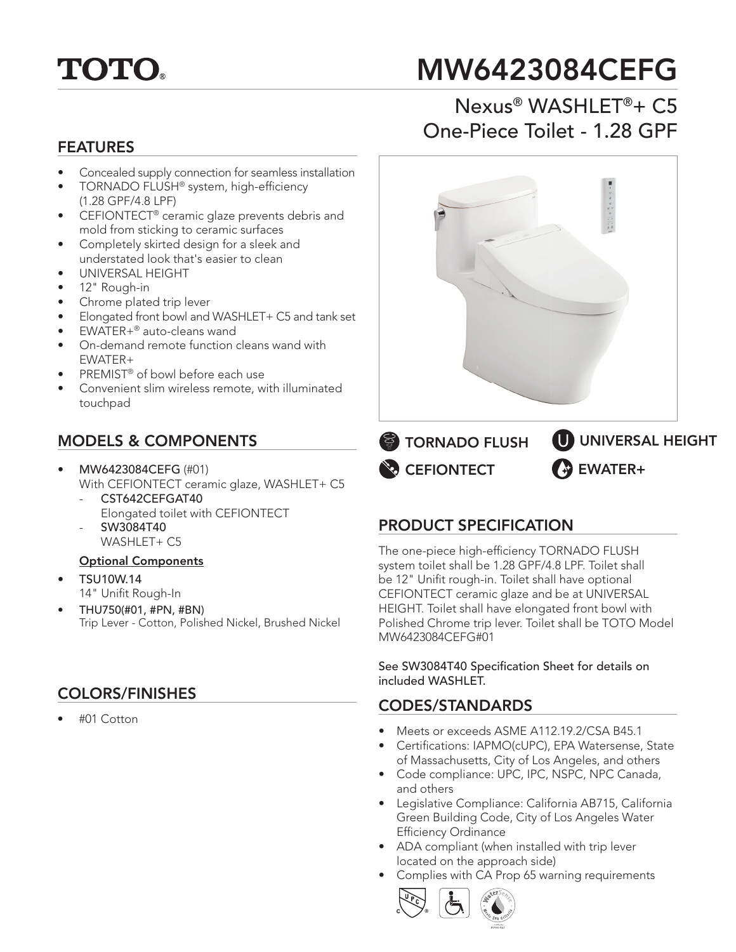

# MW6423084CEFG

#### FEATURES

- Concealed supply connection for seamless installation
- TORNADO FLUSH<sup>®</sup> system, high-efficiency
- (1.28 GPF/4.8 LPF) • CEFIONTECT® ceramic glaze prevents debris and mold from sticking to ceramic surfaces
- Completely skirted design for a sleek and understated look that's easier to clean
- UNIVERSAL HEIGHT
- 12" Rough-in
- Chrome plated trip lever
- Elongated front bowl and WASHLET+ C5 and tank set
- EWATER+® auto-cleans wand
- On-demand remote function cleans wand with EWATER+
- PREMIST<sup>®</sup> of bowl before each use
- Convenient slim wireless remote, with illuminated touchpad

#### MODELS & COMPONENTS

- MW6423084CEFG (#01) With CEFIONTECT ceramic glaze, WASHLET+ C5
	- CST642CEFGAT40 Elongated toilet with CEFIONTECT - SW3084T40
		- WASHLET+ C5

#### Optional Components

- TSU10W.14 14" Unifit Rough-In
- THU750(#01, #PN, #BN) Trip Lever - Cotton, Polished Nickel, Brushed Nickel

### COLORS/FINISHES

• #01 Cotton

# Nexus® WASHLET®+ C5 One-Piece Toilet - 1.28 GPF



**NO** CEFIONTECT **TORNADO FLUSH EWATER+** UNIVERSAL HEIGHT

#### PRODUCT SPECIFICATION

The one-piece high-efficiency TORNADO FLUSH system toilet shall be 1.28 GPF/4.8 LPF. Toilet shall be 12" Unifit rough-in. Toilet shall have optional CEFIONTECT ceramic glaze and be at UNIVERSAL HEIGHT. Toilet shall have elongated front bowl with Polished Chrome trip lever. Toilet shall be TOTO Model MW6423084CEFG#01

See SW3084T40 Specification Sheet for details on included WASHLET.

#### CODES/STANDARDS

- Meets or exceeds ASME A112.19.2/CSA B45.1
- Certifications: IAPMO(cUPC), EPA Watersense, State of Massachusetts, City of Los Angeles, and others
- Code compliance: UPC, IPC, NSPC, NPC Canada, and others
- Legislative Compliance: California AB715, California Green Building Code, City of Los Angeles Water Efficiency Ordinance
- ADA compliant (when installed with trip lever located on the approach side)
- Complies with CA Prop 65 warning requirements